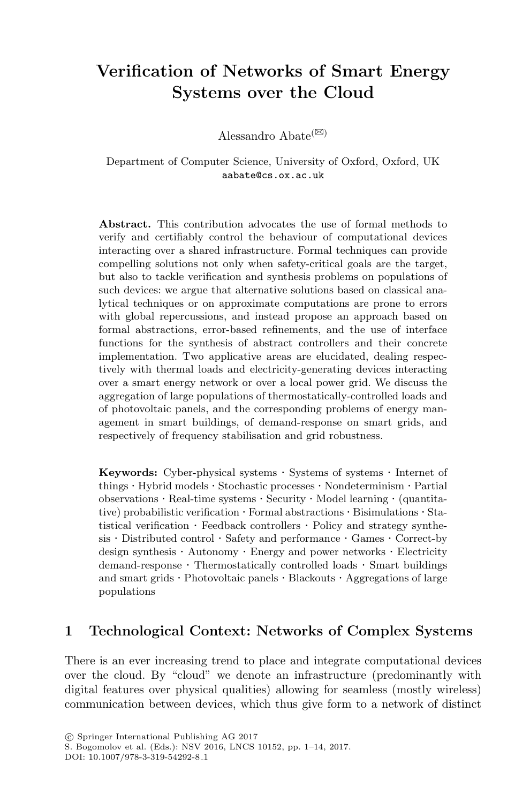# **Verification of Networks of Smart Energy Systems over the Cloud**

Alessandro Abate<sup>( $\boxtimes$ )</sup>

Department of Computer Science, University of Oxford, Oxford, UK aabate@cs.ox.ac.uk

**Abstract.** This contribution advocates the use of formal methods to verify and certifiably control the behaviour of computational devices interacting over a shared infrastructure. Formal techniques can provide compelling solutions not only when safety-critical goals are the target, but also to tackle verification and synthesis problems on populations of such devices: we argue that alternative solutions based on classical analytical techniques or on approximate computations are prone to errors with global repercussions, and instead propose an approach based on formal abstractions, error-based refinements, and the use of interface functions for the synthesis of abstract controllers and their concrete implementation. Two applicative areas are elucidated, dealing respectively with thermal loads and electricity-generating devices interacting over a smart energy network or over a local power grid. We discuss the aggregation of large populations of thermostatically-controlled loads and of photovoltaic panels, and the corresponding problems of energy management in smart buildings, of demand-response on smart grids, and respectively of frequency stabilisation and grid robustness.

**Keywords:** Cyber-physical systems *·* Systems of systems *·* Internet of things *·* Hybrid models *·* Stochastic processes *·* Nondeterminism *·* Partial observations *·* Real-time systems *·* Security *·* Model learning *·* (quantitative) probabilistic verification *·* Formal abstractions *·* Bisimulations *·* Statistical verification *·* Feedback controllers *·* Policy and strategy synthesis *·* Distributed control *·* Safety and performance *·* Games *·* Correct-by design synthesis *·* Autonomy *·* Energy and power networks *·* Electricity demand-response *·* Thermostatically controlled loads *·* Smart buildings and smart grids *·* Photovoltaic panels *·* Blackouts *·* Aggregations of large populations

# **1 Technological Context: Networks of Complex Systems**

There is an ever increasing trend to place and integrate computational devices over the cloud. By "cloud" we denote an infrastructure (predominantly with digital features over physical qualities) allowing for seamless (mostly wireless) communication between devices, which thus give form to a network of distinct

S. Bogomolov et al. (Eds.): NSV 2016, LNCS 10152, pp. 1–14, 2017.

DOI: 10.1007/978-3-319-54292-8 1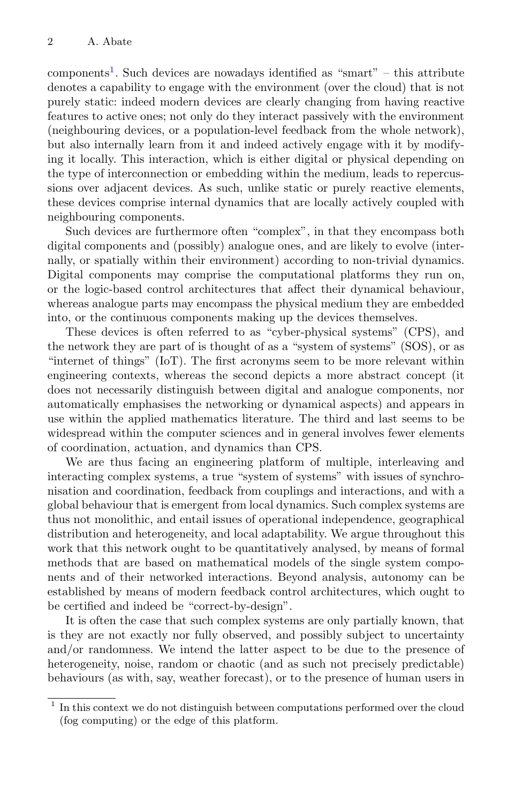components<sup>[1](#page-1-0)</sup>. Such devices are nowadays identified as "smart" – this attribute denotes a capability to engage with the environment (over the cloud) that is not purely static: indeed modern devices are clearly changing from having reactive features to active ones; not only do they interact passively with the environment (neighbouring devices, or a population-level feedback from the whole network), but also internally learn from it and indeed actively engage with it by modifying it locally. This interaction, which is either digital or physical depending on the type of interconnection or embedding within the medium, leads to repercussions over adjacent devices. As such, unlike static or purely reactive elements, these devices comprise internal dynamics that are locally actively coupled with neighbouring components.

Such devices are furthermore often "complex", in that they encompass both digital components and (possibly) analogue ones, and are likely to evolve (internally, or spatially within their environment) according to non-trivial dynamics. Digital components may comprise the computational platforms they run on, or the logic-based control architectures that affect their dynamical behaviour, whereas analogue parts may encompass the physical medium they are embedded into, or the continuous components making up the devices themselves.

These devices is often referred to as "cyber-physical systems" (CPS), and the network they are part of is thought of as a "system of systems" (SOS), or as "internet of things" (IoT). The first acronyms seem to be more relevant within engineering contexts, whereas the second depicts a more abstract concept (it does not necessarily distinguish between digital and analogue components, nor automatically emphasises the networking or dynamical aspects) and appears in use within the applied mathematics literature. The third and last seems to be widespread within the computer sciences and in general involves fewer elements of coordination, actuation, and dynamics than CPS.

We are thus facing an engineering platform of multiple, interleaving and interacting complex systems, a true "system of systems" with issues of synchronisation and coordination, feedback from couplings and interactions, and with a global behaviour that is emergent from local dynamics. Such complex systems are thus not monolithic, and entail issues of operational independence, geographical distribution and heterogeneity, and local adaptability. We argue throughout this work that this network ought to be quantitatively analysed, by means of formal methods that are based on mathematical models of the single system components and of their networked interactions. Beyond analysis, autonomy can be established by means of modern feedback control architectures, which ought to be certified and indeed be "correct-by-design".

It is often the case that such complex systems are only partially known, that is they are not exactly nor fully observed, and possibly subject to uncertainty and/or randomness. We intend the latter aspect to be due to the presence of heterogeneity, noise, random or chaotic (and as such not precisely predictable) behaviours (as with, say, weather forecast), or to the presence of human users in

<span id="page-1-0"></span><sup>&</sup>lt;sup>1</sup> In this context we do not distinguish between computations performed over the cloud (fog computing) or the edge of this platform.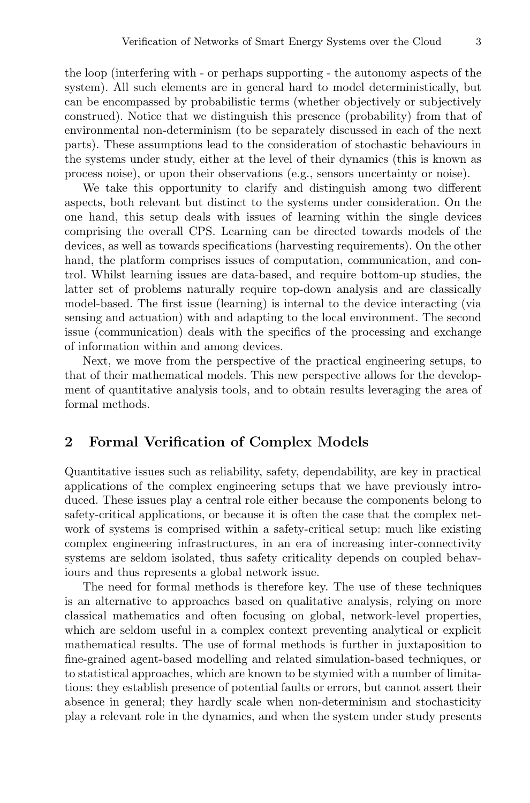the loop (interfering with - or perhaps supporting - the autonomy aspects of the system). All such elements are in general hard to model deterministically, but can be encompassed by probabilistic terms (whether objectively or subjectively construed). Notice that we distinguish this presence (probability) from that of environmental non-determinism (to be separately discussed in each of the next parts). These assumptions lead to the consideration of stochastic behaviours in the systems under study, either at the level of their dynamics (this is known as process noise), or upon their observations (e.g., sensors uncertainty or noise).

We take this opportunity to clarify and distinguish among two different aspects, both relevant but distinct to the systems under consideration. On the one hand, this setup deals with issues of learning within the single devices comprising the overall CPS. Learning can be directed towards models of the devices, as well as towards specifications (harvesting requirements). On the other hand, the platform comprises issues of computation, communication, and control. Whilst learning issues are data-based, and require bottom-up studies, the latter set of problems naturally require top-down analysis and are classically model-based. The first issue (learning) is internal to the device interacting (via sensing and actuation) with and adapting to the local environment. The second issue (communication) deals with the specifics of the processing and exchange of information within and among devices.

Next, we move from the perspective of the practical engineering setups, to that of their mathematical models. This new perspective allows for the development of quantitative analysis tools, and to obtain results leveraging the area of formal methods.

#### **2 Formal Verification of Complex Models**

Quantitative issues such as reliability, safety, dependability, are key in practical applications of the complex engineering setups that we have previously introduced. These issues play a central role either because the components belong to safety-critical applications, or because it is often the case that the complex network of systems is comprised within a safety-critical setup: much like existing complex engineering infrastructures, in an era of increasing inter-connectivity systems are seldom isolated, thus safety criticality depends on coupled behaviours and thus represents a global network issue.

The need for formal methods is therefore key. The use of these techniques is an alternative to approaches based on qualitative analysis, relying on more classical mathematics and often focusing on global, network-level properties, which are seldom useful in a complex context preventing analytical or explicit mathematical results. The use of formal methods is further in juxtaposition to fine-grained agent-based modelling and related simulation-based techniques, or to statistical approaches, which are known to be stymied with a number of limitations: they establish presence of potential faults or errors, but cannot assert their absence in general; they hardly scale when non-determinism and stochasticity play a relevant role in the dynamics, and when the system under study presents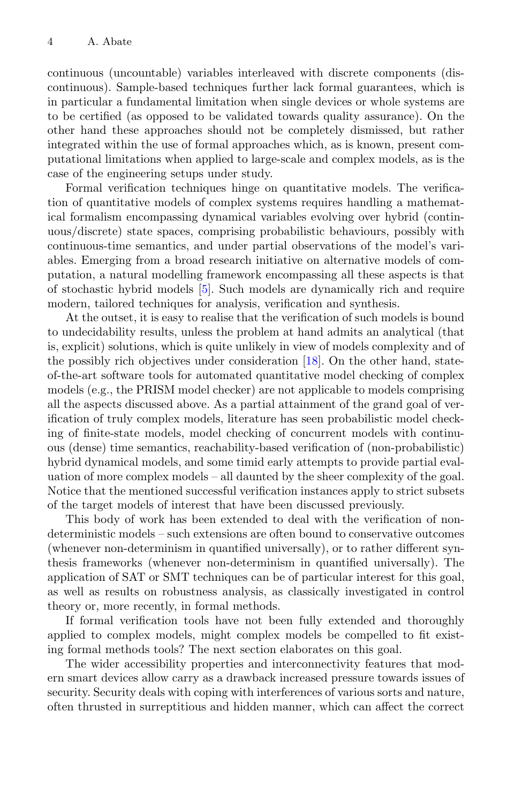continuous (uncountable) variables interleaved with discrete components (discontinuous). Sample-based techniques further lack formal guarantees, which is in particular a fundamental limitation when single devices or whole systems are to be certified (as opposed to be validated towards quality assurance). On the other hand these approaches should not be completely dismissed, but rather integrated within the use of formal approaches which, as is known, present computational limitations when applied to large-scale and complex models, as is the case of the engineering setups under study.

Formal verification techniques hinge on quantitative models. The verification of quantitative models of complex systems requires handling a mathematical formalism encompassing dynamical variables evolving over hybrid (continuous/discrete) state spaces, comprising probabilistic behaviours, possibly with continuous-time semantics, and under partial observations of the model's variables. Emerging from a broad research initiative on alternative models of computation, a natural modelling framework encompassing all these aspects is that of stochastic hybrid models [\[5](#page-12-0)]. Such models are dynamically rich and require modern, tailored techniques for analysis, verification and synthesis.

At the outset, it is easy to realise that the verification of such models is bound to undecidability results, unless the problem at hand admits an analytical (that is, explicit) solutions, which is quite unlikely in view of models complexity and of the possibly rich objectives under consideration [\[18\]](#page-13-0). On the other hand, stateof-the-art software tools for automated quantitative model checking of complex models (e.g., the PRISM model checker) are not applicable to models comprising all the aspects discussed above. As a partial attainment of the grand goal of verification of truly complex models, literature has seen probabilistic model checking of finite-state models, model checking of concurrent models with continuous (dense) time semantics, reachability-based verification of (non-probabilistic) hybrid dynamical models, and some timid early attempts to provide partial evaluation of more complex models – all daunted by the sheer complexity of the goal. Notice that the mentioned successful verification instances apply to strict subsets of the target models of interest that have been discussed previously.

This body of work has been extended to deal with the verification of nondeterministic models – such extensions are often bound to conservative outcomes (whenever non-determinism in quantified universally), or to rather different synthesis frameworks (whenever non-determinism in quantified universally). The application of SAT or SMT techniques can be of particular interest for this goal, as well as results on robustness analysis, as classically investigated in control theory or, more recently, in formal methods.

If formal verification tools have not been fully extended and thoroughly applied to complex models, might complex models be compelled to fit existing formal methods tools? The next section elaborates on this goal.

The wider accessibility properties and interconnectivity features that modern smart devices allow carry as a drawback increased pressure towards issues of security. Security deals with coping with interferences of various sorts and nature, often thrusted in surreptitious and hidden manner, which can affect the correct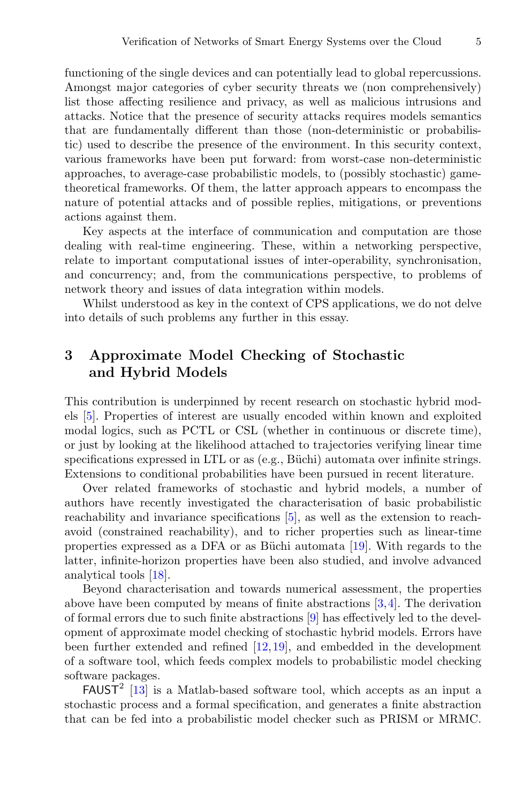functioning of the single devices and can potentially lead to global repercussions. Amongst major categories of cyber security threats we (non comprehensively) list those affecting resilience and privacy, as well as malicious intrusions and attacks. Notice that the presence of security attacks requires models semantics that are fundamentally different than those (non-deterministic or probabilistic) used to describe the presence of the environment. In this security context, various frameworks have been put forward: from worst-case non-deterministic approaches, to average-case probabilistic models, to (possibly stochastic) gametheoretical frameworks. Of them, the latter approach appears to encompass the nature of potential attacks and of possible replies, mitigations, or preventions actions against them.

Key aspects at the interface of communication and computation are those dealing with real-time engineering. These, within a networking perspective, relate to important computational issues of inter-operability, synchronisation, and concurrency; and, from the communications perspective, to problems of network theory and issues of data integration within models.

Whilst understood as key in the context of CPS applications, we do not delve into details of such problems any further in this essay.

### **3 Approximate Model Checking of Stochastic and Hybrid Models**

This contribution is underpinned by recent research on stochastic hybrid models [\[5\]](#page-12-0). Properties of interest are usually encoded within known and exploited modal logics, such as PCTL or CSL (whether in continuous or discrete time), or just by looking at the likelihood attached to trajectories verifying linear time specifications expressed in LTL or as (e.g., Büchi) automata over infinite strings. Extensions to conditional probabilities have been pursued in recent literature.

Over related frameworks of stochastic and hybrid models, a number of authors have recently investigated the characterisation of basic probabilistic reachability and invariance specifications [\[5\]](#page-12-0), as well as the extension to reachavoid (constrained reachability), and to richer properties such as linear-time properties expressed as a DFA or as Büchi automata  $[19]$ . With regards to the latter, infinite-horizon properties have been also studied, and involve advanced analytical tools [\[18](#page-13-0)].

Beyond characterisation and towards numerical assessment, the properties above have been computed by means of finite abstractions [\[3](#page-12-1),[4\]](#page-12-2). The derivation of formal errors due to such finite abstractions [\[9](#page-12-3)] has effectively led to the development of approximate model checking of stochastic hybrid models. Errors have been further extended and refined [\[12](#page-12-4)[,19](#page-13-1)], and embedded in the development of a software tool, which feeds complex models to probabilistic model checking software packages.

 $FAUST<sup>2</sup>$  [\[13](#page-12-5)] is a Matlab-based software tool, which accepts as an input a stochastic process and a formal specification, and generates a finite abstraction that can be fed into a probabilistic model checker such as PRISM or MRMC.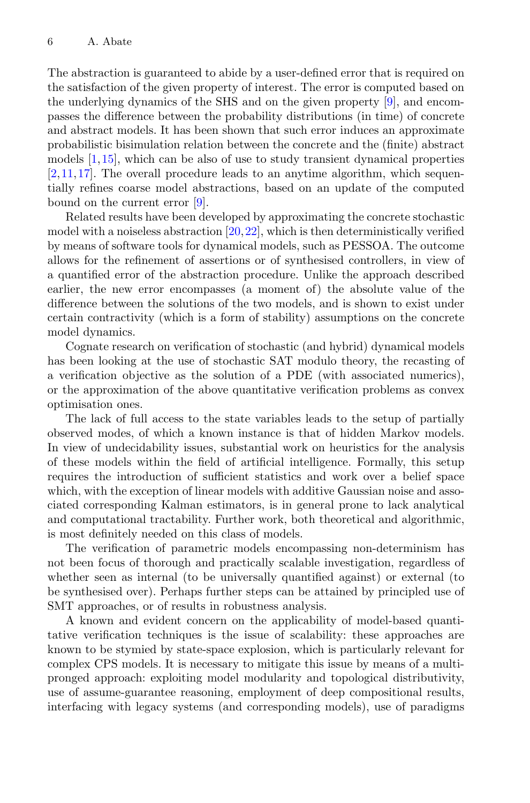The abstraction is guaranteed to abide by a user-defined error that is required on the satisfaction of the given property of interest. The error is computed based on the underlying dynamics of the SHS and on the given property [\[9\]](#page-12-3), and encompasses the difference between the probability distributions (in time) of concrete and abstract models. It has been shown that such error induces an approximate probabilistic bisimulation relation between the concrete and the (finite) abstract models [\[1](#page-12-6)[,15](#page-12-7)], which can be also of use to study transient dynamical properties [\[2](#page-12-8),[11,](#page-12-9)[17\]](#page-13-2). The overall procedure leads to an anytime algorithm, which sequentially refines coarse model abstractions, based on an update of the computed bound on the current error [\[9\]](#page-12-3).

Related results have been developed by approximating the concrete stochastic model with a noiseless abstraction  $[20,22]$  $[20,22]$  $[20,22]$ , which is then deterministically verified by means of software tools for dynamical models, such as PESSOA. The outcome allows for the refinement of assertions or of synthesised controllers, in view of a quantified error of the abstraction procedure. Unlike the approach described earlier, the new error encompasses (a moment of) the absolute value of the difference between the solutions of the two models, and is shown to exist under certain contractivity (which is a form of stability) assumptions on the concrete model dynamics.

Cognate research on verification of stochastic (and hybrid) dynamical models has been looking at the use of stochastic SAT modulo theory, the recasting of a verification objective as the solution of a PDE (with associated numerics), or the approximation of the above quantitative verification problems as convex optimisation ones.

The lack of full access to the state variables leads to the setup of partially observed modes, of which a known instance is that of hidden Markov models. In view of undecidability issues, substantial work on heuristics for the analysis of these models within the field of artificial intelligence. Formally, this setup requires the introduction of sufficient statistics and work over a belief space which, with the exception of linear models with additive Gaussian noise and associated corresponding Kalman estimators, is in general prone to lack analytical and computational tractability. Further work, both theoretical and algorithmic, is most definitely needed on this class of models.

The verification of parametric models encompassing non-determinism has not been focus of thorough and practically scalable investigation, regardless of whether seen as internal (to be universally quantified against) or external (to be synthesised over). Perhaps further steps can be attained by principled use of SMT approaches, or of results in robustness analysis.

A known and evident concern on the applicability of model-based quantitative verification techniques is the issue of scalability: these approaches are known to be stymied by state-space explosion, which is particularly relevant for complex CPS models. It is necessary to mitigate this issue by means of a multipronged approach: exploiting model modularity and topological distributivity, use of assume-guarantee reasoning, employment of deep compositional results, interfacing with legacy systems (and corresponding models), use of paradigms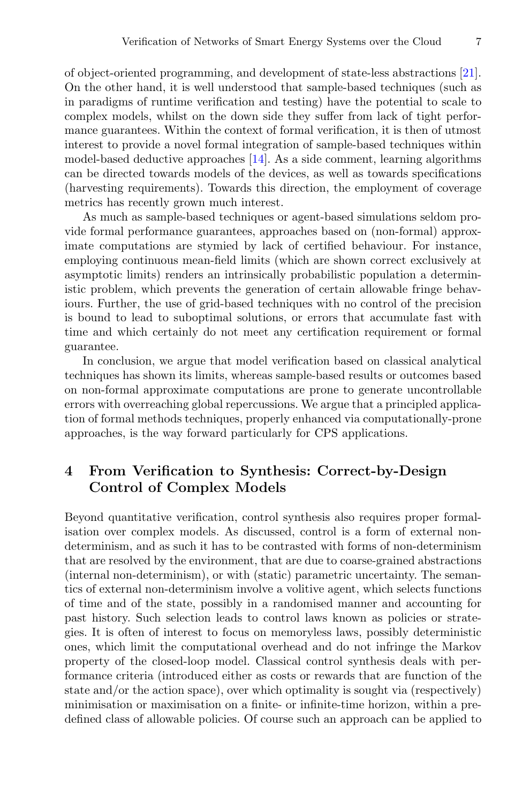of object-oriented programming, and development of state-less abstractions [\[21\]](#page-13-5). On the other hand, it is well understood that sample-based techniques (such as in paradigms of runtime verification and testing) have the potential to scale to complex models, whilst on the down side they suffer from lack of tight performance guarantees. Within the context of formal verification, it is then of utmost interest to provide a novel formal integration of sample-based techniques within model-based deductive approaches [\[14](#page-12-10)]. As a side comment, learning algorithms can be directed towards models of the devices, as well as towards specifications (harvesting requirements). Towards this direction, the employment of coverage metrics has recently grown much interest.

As much as sample-based techniques or agent-based simulations seldom provide formal performance guarantees, approaches based on (non-formal) approximate computations are stymied by lack of certified behaviour. For instance, employing continuous mean-field limits (which are shown correct exclusively at asymptotic limits) renders an intrinsically probabilistic population a deterministic problem, which prevents the generation of certain allowable fringe behaviours. Further, the use of grid-based techniques with no control of the precision is bound to lead to suboptimal solutions, or errors that accumulate fast with time and which certainly do not meet any certification requirement or formal guarantee.

In conclusion, we argue that model verification based on classical analytical techniques has shown its limits, whereas sample-based results or outcomes based on non-formal approximate computations are prone to generate uncontrollable errors with overreaching global repercussions. We argue that a principled application of formal methods techniques, properly enhanced via computationally-prone approaches, is the way forward particularly for CPS applications.

# **4 From Verification to Synthesis: Correct-by-Design Control of Complex Models**

Beyond quantitative verification, control synthesis also requires proper formalisation over complex models. As discussed, control is a form of external nondeterminism, and as such it has to be contrasted with forms of non-determinism that are resolved by the environment, that are due to coarse-grained abstractions (internal non-determinism), or with (static) parametric uncertainty. The semantics of external non-determinism involve a volitive agent, which selects functions of time and of the state, possibly in a randomised manner and accounting for past history. Such selection leads to control laws known as policies or strategies. It is often of interest to focus on memoryless laws, possibly deterministic ones, which limit the computational overhead and do not infringe the Markov property of the closed-loop model. Classical control synthesis deals with performance criteria (introduced either as costs or rewards that are function of the state and/or the action space), over which optimality is sought via (respectively) minimisation or maximisation on a finite- or infinite-time horizon, within a predefined class of allowable policies. Of course such an approach can be applied to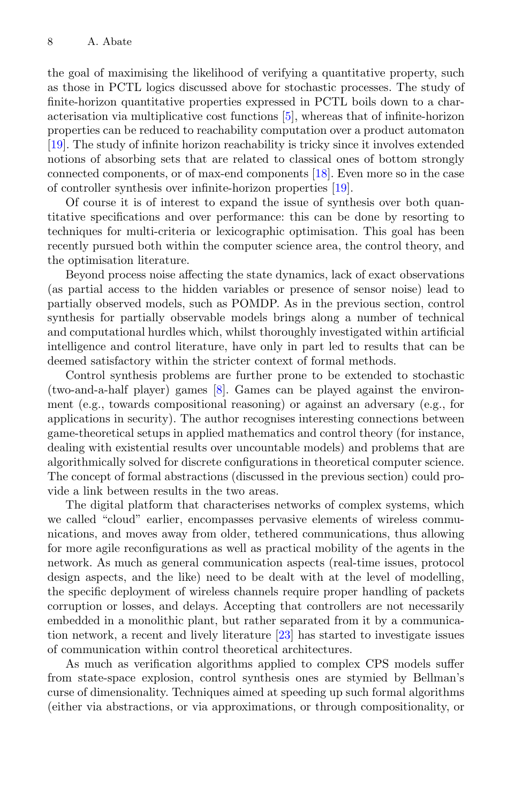the goal of maximising the likelihood of verifying a quantitative property, such as those in PCTL logics discussed above for stochastic processes. The study of finite-horizon quantitative properties expressed in PCTL boils down to a characterisation via multiplicative cost functions [\[5](#page-12-0)], whereas that of infinite-horizon properties can be reduced to reachability computation over a product automaton [\[19](#page-13-1)]. The study of infinite horizon reachability is tricky since it involves extended notions of absorbing sets that are related to classical ones of bottom strongly connected components, or of max-end components [\[18](#page-13-0)]. Even more so in the case of controller synthesis over infinite-horizon properties [\[19\]](#page-13-1).

Of course it is of interest to expand the issue of synthesis over both quantitative specifications and over performance: this can be done by resorting to techniques for multi-criteria or lexicographic optimisation. This goal has been recently pursued both within the computer science area, the control theory, and the optimisation literature.

Beyond process noise affecting the state dynamics, lack of exact observations (as partial access to the hidden variables or presence of sensor noise) lead to partially observed models, such as POMDP. As in the previous section, control synthesis for partially observable models brings along a number of technical and computational hurdles which, whilst thoroughly investigated within artificial intelligence and control literature, have only in part led to results that can be deemed satisfactory within the stricter context of formal methods.

Control synthesis problems are further prone to be extended to stochastic (two-and-a-half player) games [\[8](#page-12-11)]. Games can be played against the environment (e.g., towards compositional reasoning) or against an adversary (e.g., for applications in security). The author recognises interesting connections between game-theoretical setups in applied mathematics and control theory (for instance, dealing with existential results over uncountable models) and problems that are algorithmically solved for discrete configurations in theoretical computer science. The concept of formal abstractions (discussed in the previous section) could provide a link between results in the two areas.

The digital platform that characterises networks of complex systems, which we called "cloud" earlier, encompasses pervasive elements of wireless communications, and moves away from older, tethered communications, thus allowing for more agile reconfigurations as well as practical mobility of the agents in the network. As much as general communication aspects (real-time issues, protocol design aspects, and the like) need to be dealt with at the level of modelling, the specific deployment of wireless channels require proper handling of packets corruption or losses, and delays. Accepting that controllers are not necessarily embedded in a monolithic plant, but rather separated from it by a communication network, a recent and lively literature [\[23](#page-13-6)] has started to investigate issues of communication within control theoretical architectures.

As much as verification algorithms applied to complex CPS models suffer from state-space explosion, control synthesis ones are stymied by Bellman's curse of dimensionality. Techniques aimed at speeding up such formal algorithms (either via abstractions, or via approximations, or through compositionality, or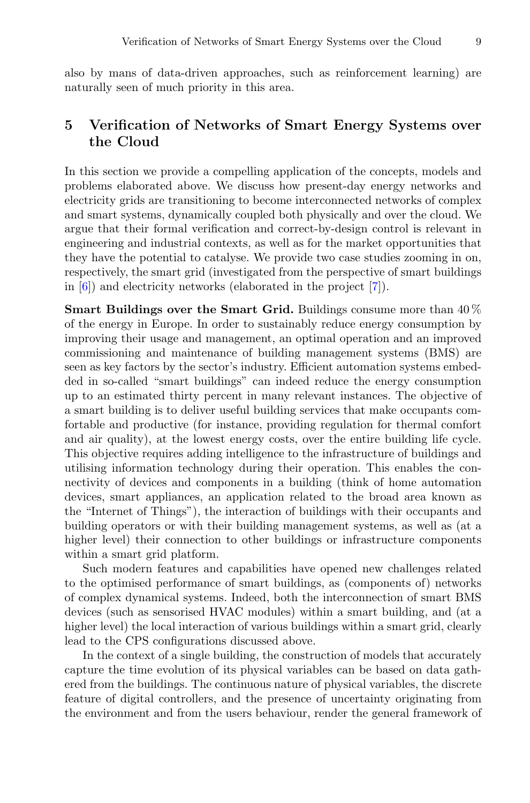also by mans of data-driven approaches, such as reinforcement learning) are naturally seen of much priority in this area.

### **5 Verification of Networks of Smart Energy Systems over the Cloud**

In this section we provide a compelling application of the concepts, models and problems elaborated above. We discuss how present-day energy networks and electricity grids are transitioning to become interconnected networks of complex and smart systems, dynamically coupled both physically and over the cloud. We argue that their formal verification and correct-by-design control is relevant in engineering and industrial contexts, as well as for the market opportunities that they have the potential to catalyse. We provide two case studies zooming in on, respectively, the smart grid (investigated from the perspective of smart buildings in [\[6\]](#page-12-12)) and electricity networks (elaborated in the project [\[7\]](#page-12-13)).

**Smart Buildings over the Smart Grid.** Buildings consume more than 40 % of the energy in Europe. In order to sustainably reduce energy consumption by improving their usage and management, an optimal operation and an improved commissioning and maintenance of building management systems (BMS) are seen as key factors by the sector's industry. Efficient automation systems embedded in so-called "smart buildings" can indeed reduce the energy consumption up to an estimated thirty percent in many relevant instances. The objective of a smart building is to deliver useful building services that make occupants comfortable and productive (for instance, providing regulation for thermal comfort and air quality), at the lowest energy costs, over the entire building life cycle. This objective requires adding intelligence to the infrastructure of buildings and utilising information technology during their operation. This enables the connectivity of devices and components in a building (think of home automation devices, smart appliances, an application related to the broad area known as the "Internet of Things"), the interaction of buildings with their occupants and building operators or with their building management systems, as well as (at a higher level) their connection to other buildings or infrastructure components within a smart grid platform.

Such modern features and capabilities have opened new challenges related to the optimised performance of smart buildings, as (components of) networks of complex dynamical systems. Indeed, both the interconnection of smart BMS devices (such as sensorised HVAC modules) within a smart building, and (at a higher level) the local interaction of various buildings within a smart grid, clearly lead to the CPS configurations discussed above.

In the context of a single building, the construction of models that accurately capture the time evolution of its physical variables can be based on data gathered from the buildings. The continuous nature of physical variables, the discrete feature of digital controllers, and the presence of uncertainty originating from the environment and from the users behaviour, render the general framework of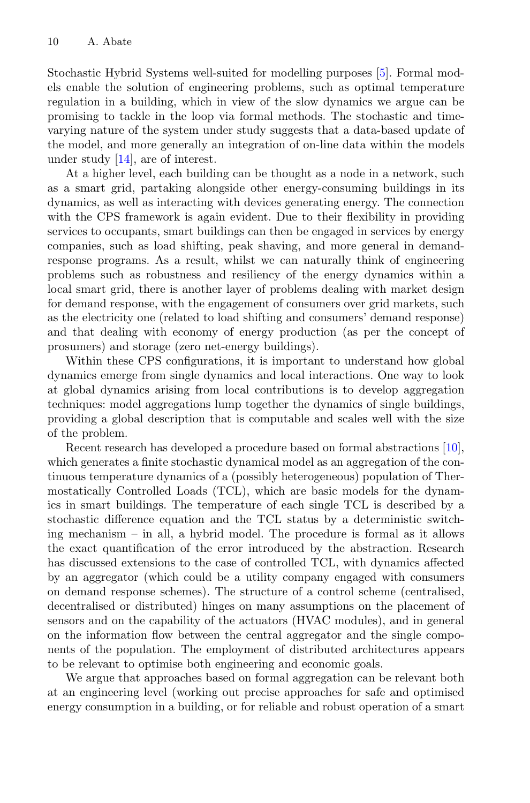Stochastic Hybrid Systems well-suited for modelling purposes [\[5\]](#page-12-0). Formal models enable the solution of engineering problems, such as optimal temperature regulation in a building, which in view of the slow dynamics we argue can be promising to tackle in the loop via formal methods. The stochastic and timevarying nature of the system under study suggests that a data-based update of the model, and more generally an integration of on-line data within the models under study [\[14\]](#page-12-10), are of interest.

At a higher level, each building can be thought as a node in a network, such as a smart grid, partaking alongside other energy-consuming buildings in its dynamics, as well as interacting with devices generating energy. The connection with the CPS framework is again evident. Due to their flexibility in providing services to occupants, smart buildings can then be engaged in services by energy companies, such as load shifting, peak shaving, and more general in demandresponse programs. As a result, whilst we can naturally think of engineering problems such as robustness and resiliency of the energy dynamics within a local smart grid, there is another layer of problems dealing with market design for demand response, with the engagement of consumers over grid markets, such as the electricity one (related to load shifting and consumers' demand response) and that dealing with economy of energy production (as per the concept of prosumers) and storage (zero net-energy buildings).

Within these CPS configurations, it is important to understand how global dynamics emerge from single dynamics and local interactions. One way to look at global dynamics arising from local contributions is to develop aggregation techniques: model aggregations lump together the dynamics of single buildings, providing a global description that is computable and scales well with the size of the problem.

Recent research has developed a procedure based on formal abstractions [\[10\]](#page-12-14), which generates a finite stochastic dynamical model as an aggregation of the continuous temperature dynamics of a (possibly heterogeneous) population of Thermostatically Controlled Loads (TCL), which are basic models for the dynamics in smart buildings. The temperature of each single TCL is described by a stochastic difference equation and the TCL status by a deterministic switching mechanism – in all, a hybrid model. The procedure is formal as it allows the exact quantification of the error introduced by the abstraction. Research has discussed extensions to the case of controlled TCL, with dynamics affected by an aggregator (which could be a utility company engaged with consumers on demand response schemes). The structure of a control scheme (centralised, decentralised or distributed) hinges on many assumptions on the placement of sensors and on the capability of the actuators (HVAC modules), and in general on the information flow between the central aggregator and the single components of the population. The employment of distributed architectures appears to be relevant to optimise both engineering and economic goals.

We argue that approaches based on formal aggregation can be relevant both at an engineering level (working out precise approaches for safe and optimised energy consumption in a building, or for reliable and robust operation of a smart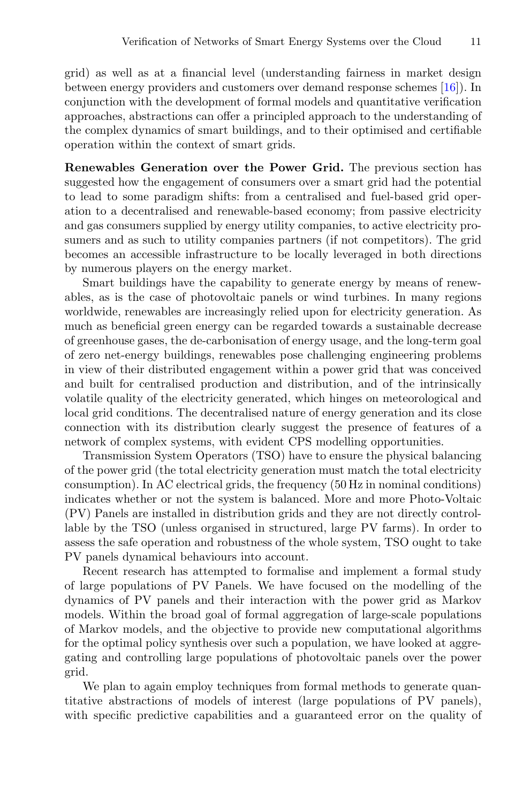grid) as well as at a financial level (understanding fairness in market design between energy providers and customers over demand response schemes [\[16](#page-12-15)]). In conjunction with the development of formal models and quantitative verification approaches, abstractions can offer a principled approach to the understanding of the complex dynamics of smart buildings, and to their optimised and certifiable operation within the context of smart grids.

**Renewables Generation over the Power Grid.** The previous section has suggested how the engagement of consumers over a smart grid had the potential to lead to some paradigm shifts: from a centralised and fuel-based grid operation to a decentralised and renewable-based economy; from passive electricity and gas consumers supplied by energy utility companies, to active electricity prosumers and as such to utility companies partners (if not competitors). The grid becomes an accessible infrastructure to be locally leveraged in both directions by numerous players on the energy market.

Smart buildings have the capability to generate energy by means of renewables, as is the case of photovoltaic panels or wind turbines. In many regions worldwide, renewables are increasingly relied upon for electricity generation. As much as beneficial green energy can be regarded towards a sustainable decrease of greenhouse gases, the de-carbonisation of energy usage, and the long-term goal of zero net-energy buildings, renewables pose challenging engineering problems in view of their distributed engagement within a power grid that was conceived and built for centralised production and distribution, and of the intrinsically volatile quality of the electricity generated, which hinges on meteorological and local grid conditions. The decentralised nature of energy generation and its close connection with its distribution clearly suggest the presence of features of a network of complex systems, with evident CPS modelling opportunities.

Transmission System Operators (TSO) have to ensure the physical balancing of the power grid (the total electricity generation must match the total electricity consumption). In AC electrical grids, the frequency (50 Hz in nominal conditions) indicates whether or not the system is balanced. More and more Photo-Voltaic (PV) Panels are installed in distribution grids and they are not directly controllable by the TSO (unless organised in structured, large PV farms). In order to assess the safe operation and robustness of the whole system, TSO ought to take PV panels dynamical behaviours into account.

Recent research has attempted to formalise and implement a formal study of large populations of PV Panels. We have focused on the modelling of the dynamics of PV panels and their interaction with the power grid as Markov models. Within the broad goal of formal aggregation of large-scale populations of Markov models, and the objective to provide new computational algorithms for the optimal policy synthesis over such a population, we have looked at aggregating and controlling large populations of photovoltaic panels over the power grid.

We plan to again employ techniques from formal methods to generate quantitative abstractions of models of interest (large populations of PV panels), with specific predictive capabilities and a guaranteed error on the quality of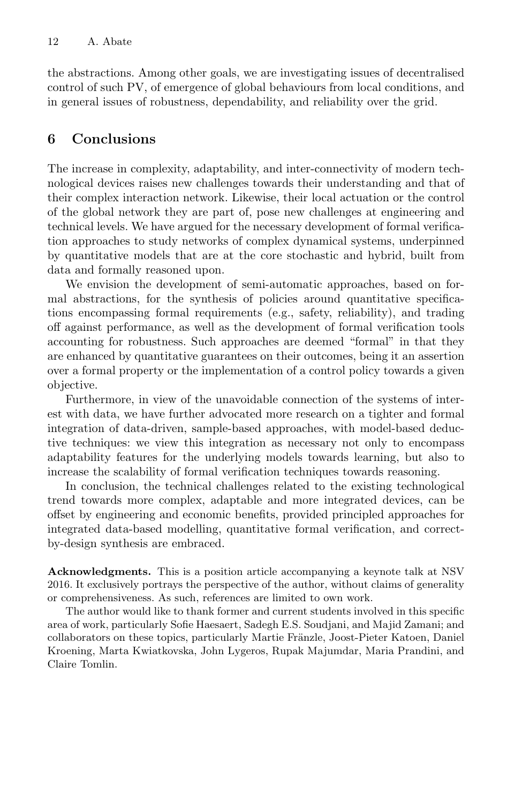the abstractions. Among other goals, we are investigating issues of decentralised control of such PV, of emergence of global behaviours from local conditions, and in general issues of robustness, dependability, and reliability over the grid.

## **6 Conclusions**

The increase in complexity, adaptability, and inter-connectivity of modern technological devices raises new challenges towards their understanding and that of their complex interaction network. Likewise, their local actuation or the control of the global network they are part of, pose new challenges at engineering and technical levels. We have argued for the necessary development of formal verification approaches to study networks of complex dynamical systems, underpinned by quantitative models that are at the core stochastic and hybrid, built from data and formally reasoned upon.

We envision the development of semi-automatic approaches, based on formal abstractions, for the synthesis of policies around quantitative specifications encompassing formal requirements (e.g., safety, reliability), and trading off against performance, as well as the development of formal verification tools accounting for robustness. Such approaches are deemed "formal" in that they are enhanced by quantitative guarantees on their outcomes, being it an assertion over a formal property or the implementation of a control policy towards a given objective.

Furthermore, in view of the unavoidable connection of the systems of interest with data, we have further advocated more research on a tighter and formal integration of data-driven, sample-based approaches, with model-based deductive techniques: we view this integration as necessary not only to encompass adaptability features for the underlying models towards learning, but also to increase the scalability of formal verification techniques towards reasoning.

In conclusion, the technical challenges related to the existing technological trend towards more complex, adaptable and more integrated devices, can be offset by engineering and economic benefits, provided principled approaches for integrated data-based modelling, quantitative formal verification, and correctby-design synthesis are embraced.

**Acknowledgments.** This is a position article accompanying a keynote talk at NSV 2016. It exclusively portrays the perspective of the author, without claims of generality or comprehensiveness. As such, references are limited to own work.

The author would like to thank former and current students involved in this specific area of work, particularly Sofie Haesaert, Sadegh E.S. Soudjani, and Majid Zamani; and collaborators on these topics, particularly Martie Fränzle, Joost-Pieter Katoen, Daniel Kroening, Marta Kwiatkovska, John Lygeros, Rupak Majumdar, Maria Prandini, and Claire Tomlin.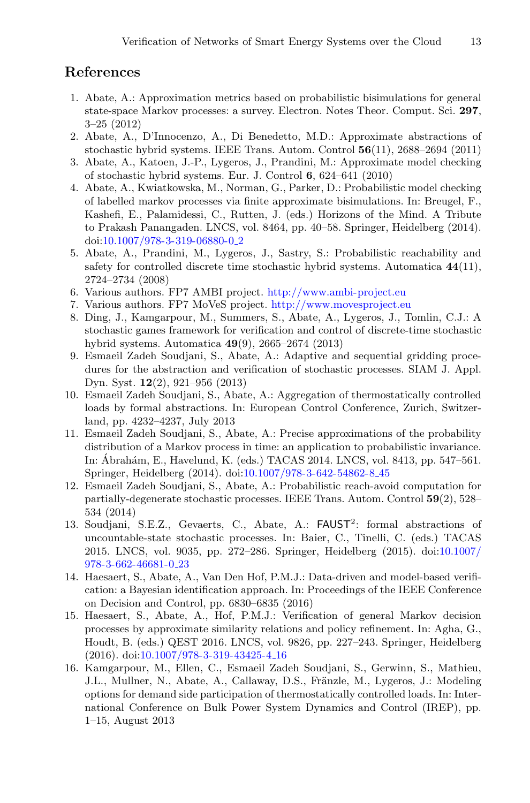#### <span id="page-12-6"></span>**References**

- 1. Abate, A.: Approximation metrics based on probabilistic bisimulations for general state-space Markov processes: a survey. Electron. Notes Theor. Comput. Sci. **297**, 3–25 (2012)
- <span id="page-12-8"></span>2. Abate, A., D'Innocenzo, A., Di Benedetto, M.D.: Approximate abstractions of stochastic hybrid systems. IEEE Trans. Autom. Control **56**(11), 2688–2694 (2011)
- <span id="page-12-1"></span>3. Abate, A., Katoen, J.-P., Lygeros, J., Prandini, M.: Approximate model checking of stochastic hybrid systems. Eur. J. Control **6**, 624–641 (2010)
- <span id="page-12-2"></span>4. Abate, A., Kwiatkowska, M., Norman, G., Parker, D.: Probabilistic model checking of labelled markov processes via finite approximate bisimulations. In: Breugel, F., Kashefi, E., Palamidessi, C., Rutten, J. (eds.) Horizons of the Mind. A Tribute to Prakash Panangaden. LNCS, vol. 8464, pp. 40–58. Springer, Heidelberg (2014). doi[:10.1007/978-3-319-06880-0](http://dx.doi.org/10.1007/978-3-319-06880-0_2)<sub>-2</sub>
- <span id="page-12-0"></span>5. Abate, A., Prandini, M., Lygeros, J., Sastry, S.: Probabilistic reachability and safety for controlled discrete time stochastic hybrid systems. Automatica **44**(11), 2724–2734 (2008)
- <span id="page-12-12"></span>6. Various authors. FP7 AMBI project. <http://www.ambi-project.eu>
- <span id="page-12-13"></span>7. Various authors. FP7 MoVeS project. <http://www.movesproject.eu>
- <span id="page-12-11"></span>8. Ding, J., Kamgarpour, M., Summers, S., Abate, A., Lygeros, J., Tomlin, C.J.: A stochastic games framework for verification and control of discrete-time stochastic hybrid systems. Automatica **49**(9), 2665–2674 (2013)
- <span id="page-12-3"></span>9. Esmaeil Zadeh Soudjani, S., Abate, A.: Adaptive and sequential gridding procedures for the abstraction and verification of stochastic processes. SIAM J. Appl. Dyn. Syst. **12**(2), 921–956 (2013)
- <span id="page-12-14"></span>10. Esmaeil Zadeh Soudjani, S., Abate, A.: Aggregation of thermostatically controlled loads by formal abstractions. In: European Control Conference, Zurich, Switzerland, pp. 4232–4237, July 2013
- <span id="page-12-9"></span>11. Esmaeil Zadeh Soudjani, S., Abate, A.: Precise approximations of the probability distribution of a Markov process in time: an application to probabilistic invariance. In: Ábrahám, E., Havelund, K. (eds.) TACAS 2014. LNCS, vol. 8413, pp. 547–561. Springer, Heidelberg (2014). doi[:10.1007/978-3-642-54862-8](http://dx.doi.org/10.1007/978-3-642-54862-8_45) 45
- <span id="page-12-4"></span>12. Esmaeil Zadeh Soudjani, S., Abate, A.: Probabilistic reach-avoid computation for partially-degenerate stochastic processes. IEEE Trans. Autom. Control **59**(2), 528– 534 (2014)
- <span id="page-12-5"></span>13. Soudjani, S.E.Z., Gevaerts, C., Abate, A.: FAUST<sup>2</sup>: formal abstractions of uncountable-state stochastic processes. In: Baier, C., Tinelli, C. (eds.) TACAS 2015. LNCS, vol. 9035, pp. 272–286. Springer, Heidelberg (2015). doi[:10.1007/](http://dx.doi.org/10.1007/978-3-662-46681-0_23) [978-3-662-46681-0](http://dx.doi.org/10.1007/978-3-662-46681-0_23) 23
- <span id="page-12-10"></span>14. Haesaert, S., Abate, A., Van Den Hof, P.M.J.: Data-driven and model-based verification: a Bayesian identification approach. In: Proceedings of the IEEE Conference on Decision and Control, pp. 6830–6835 (2016)
- <span id="page-12-7"></span>15. Haesaert, S., Abate, A., Hof, P.M.J.: Verification of general Markov decision processes by approximate similarity relations and policy refinement. In: Agha, G., Houdt, B. (eds.) QEST 2016. LNCS, vol. 9826, pp. 227–243. Springer, Heidelberg (2016). doi[:10.1007/978-3-319-43425-4](http://dx.doi.org/10.1007/978-3-319-43425-4_16) 16
- <span id="page-12-15"></span>16. Kamgarpour, M., Ellen, C., Esmaeil Zadeh Soudjani, S., Gerwinn, S., Mathieu, J.L., Mullner, N., Abate, A., Callaway, D.S., Fränzle, M., Lygeros, J.: Modeling options for demand side participation of thermostatically controlled loads. In: International Conference on Bulk Power System Dynamics and Control (IREP), pp. 1–15, August 2013